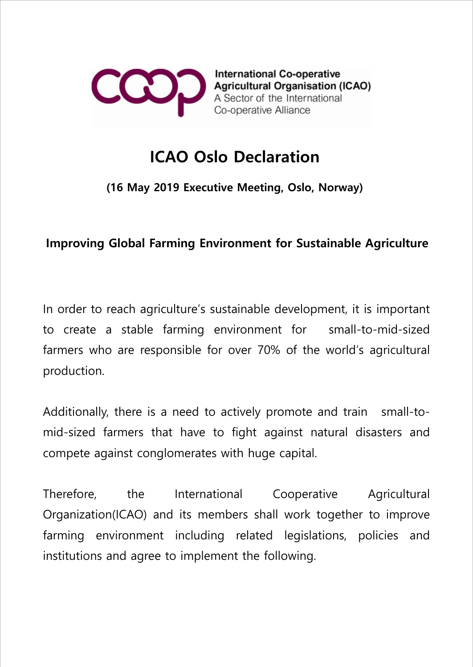

**International Co-operative Agricultural Organisation (ICAO)** A Sector of the International Co-operative Alliance

## ICAO Oslo Declaration

(16 May 2019 Executive Meeting, Oslo, Norway)

## Improving Global Farming Environment for Sustainable Agriculture

In order to reach agriculture's sustainable development, it is important to create a stable farming environment for small-to-mid-sized farmers who are responsible for over 70% of the world's agricultural production.

Additionally, there is a need to actively promote and train small-tomid-sized farmers that have to fight against natural disasters and compete against conglomerates with huge capital.

Therefore, the International Cooperative Agricultural Organization(ICAO) and its members shall work together to improve farming environment including related legislations, policies and institutions and agree to implement the following.